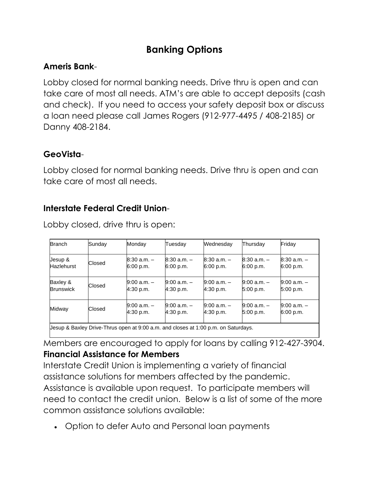# **Banking Options**

## **Ameris Bank**-

Lobby closed for normal banking needs. Drive thru is open and can take care of most all needs. ATM's are able to accept deposits (cash and check). If you need to access your safety deposit box or discuss a loan need please call James Rogers (912-977-4495 / 408-2185) or Danny 408-2184.

#### **GeoVista**-

Lobby closed for normal banking needs. Drive thru is open and can take care of most all needs.

## **Interstate Federal Credit Union**-

| <b>Branch</b>         | Sunday | Monday                                                                             | Tuesdav                      | Wednesday                    | Thursday                     | Friday                       |
|-----------------------|--------|------------------------------------------------------------------------------------|------------------------------|------------------------------|------------------------------|------------------------------|
| Jesup &<br>Hazlehurst | Closed | $8:30$ a.m. $-$<br>6:00 p.m.                                                       | $8:30$ a.m. $-$<br>6:00 p.m. | $8:30$ a.m. $-$<br>6:00 p.m. | $8:30$ a.m. $-$<br>6:00 p.m. | $8:30$ a.m. $-$<br>6:00 p.m. |
| Baxley &<br>Brunswick | Closed | $9:00$ a.m. $-$<br>4:30 p.m.                                                       | $9:00$ a.m. $-$<br>4:30 p.m. | $9:00$ a.m. $-$<br>4:30 p.m. | $9:00$ a.m. $-$<br>5:00 p.m. | $9:00$ a.m. $-$<br>5:00 p.m. |
| Midway                | Closed | $9:00$ a.m. $-$<br>4:30 p.m.                                                       | $9:00 a.m. -$<br>4:30 p.m.   | $9:00$ a.m. $-$<br>4:30 p.m. | $9:00$ a.m. $-$<br>5:00 p.m. | $9:00$ a.m. $-$<br>6:00 p.m. |
|                       |        | Uesup & Baxley Drive-Thrus open at 9:00 a.m. and closes at 1:00 p.m. on Saturdays. |                              |                              |                              |                              |

Lobby closed, drive thru is open:

Members are encouraged to apply for loans by calling 912-427-3904.

## **Financial Assistance for Members**

Interstate Credit Union is implementing a variety of financial assistance solutions for members affected by the pandemic. Assistance is available upon request. To participate members will need to contact the credit union. Below is a list of some of the more common assistance solutions available:

• Option to defer Auto and Personal loan payments